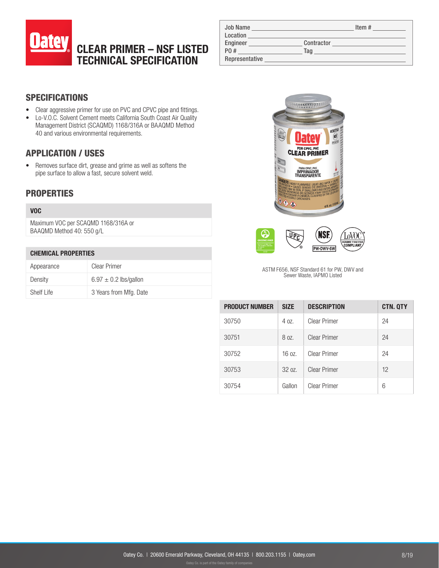

| <b>Job Name</b> |            | Item $#$ |
|-----------------|------------|----------|
| Location        |            |          |
| Engineer        | Contractor |          |
| P0 #            | Taq        |          |
| Representative  |            |          |

# **SPECIFICATIONS**

- Clear aggressive primer for use on PVC and CPVC pipe and fittings.
- Lo-V.O.C. Solvent Cement meets California South Coast Air Quality Management District (SCAQMD) 1168/316A or BAAQMD Method 40 and various environmental requirements.

## APPLICATION / USES

• Removes surface dirt, grease and grime as well as softens the pipe surface to allow a fast, secure solvent weld.

### **PROPERTIES**

#### VOC

Maximum VOC per SCAQMD 1168/316A or BAAQMD Method 40: 550 g/L

#### CHEMICAL PROPERTIES

| Appearance | Clear Primer              |
|------------|---------------------------|
| Density    | $6.97 \pm 0.2$ lbs/gallon |
| Shelf Life | 3 Years from Mfg. Date    |



ASTM F656, NSF Standard 61 for PW, DWV and Sewer Waste, IAPMO Listed

| <b>PRODUCT NUMBER</b> | <b>SIZE</b> | <b>DESCRIPTION</b>  | <b>CTN. QTY</b> |
|-----------------------|-------------|---------------------|-----------------|
| 30750                 | 4 oz.       | Clear Primer        | 24              |
| 30751                 | 8 oz.       | <b>Clear Primer</b> | 24              |
| 30752                 | 16 oz.      | <b>Clear Primer</b> | 24              |
| 30753                 | 3207        | <b>Clear Primer</b> | 12              |
| 30754                 | Gallon      | <b>Clear Primer</b> | 6               |